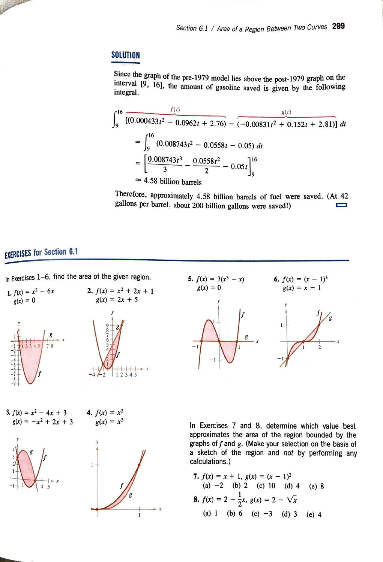## **SOLUTION**

Since the graph of the pre-1979 model lies above the post-1979 graph on the interval [9, 16], the amount of gasoline saved is given by the following integral.

$$
\int_{9}^{16} \overline{[(0.000433t^{2} + 0.0962t + 2.76)} - (-0.00831t^{2} + 0.152t + 2.81)]} dt
$$
  
= 
$$
\int_{9}^{16} (0.008743t^{2} - 0.0558t - 0.05) dt
$$
  
= 
$$
\left[\frac{0.008743t^{3}}{3} - \frac{0.0558t^{2}}{2} - 0.05t\right]_{9}^{16}
$$
  
 $\approx$  4.58 billion barrels

Therefore, approximately 4.58 billion barrels of fuel were saved. (At 42 gallons per barrel, about 200 billion gallons were saved!)

## **EXERCISES for Section 6.1**

A BEN

In Exercises 1–6, find the area of the given region. 5.  $f(x) = 3(x^3 - x)$ 



6.  $f(x) = (x - 1)^3$ <br> $g(x) = x - 1$  $g(x) = 0$ *y*   $\mathbf{g}$  $\frac{1}{2}$ 

3.  $f(x) = x^2 - 4x + 3$  $g(x) = -x^2 + 2x + 3$ **4.**  $f(x) = x^2$ 



 $g(x) = x^3$ 

In Exercises 7 and 8, determine which value best approximates the area of the region bounded by the graphs off and *g.* (Make your selection on the basis of a sketch of the region and *not* by performing any calculations.)

7. 
$$
f(x) = x + 1
$$
,  $g(x) = (x - 1)^2$   
\n(a) -2 (b) 2 (c) 10 (d) 4 (e) 8  
\n8.  $f(x) = 2 - \frac{1}{2}x$ ,  $g(x) = 2 - \sqrt{x}$   
\n(a) 1 (b) 6 (c) -3 (d) 3 (e) 4